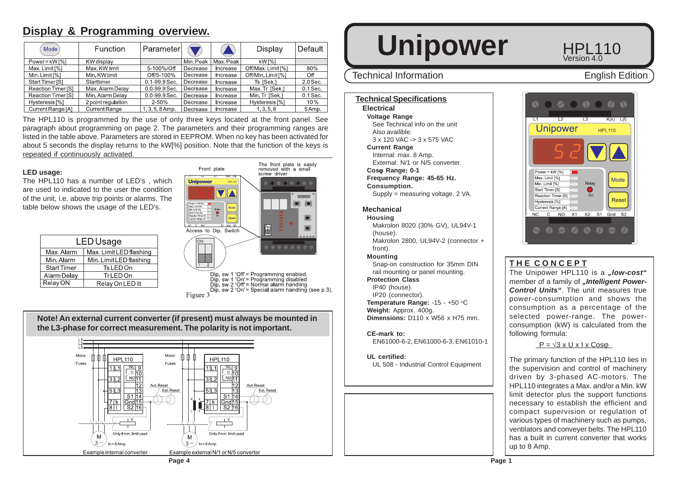# **Display & Programming overview.**

| Mode <sup>'</sup>         | <b>Function</b>    | Parameter         |           |          | Display                   | Default    |
|---------------------------|--------------------|-------------------|-----------|----------|---------------------------|------------|
| $Power = kW[%]$           | KW display         |                   | Min, Peak | Max Peak | kW [%]                    |            |
| Max. Limit [%]            | Max. KW limit      | 5-100%/Off        | Decrease  | Increase | Off/Max. Limit [%]        | 80%        |
| Min. Limit [%]            | Min. KW limit      | Off/5-100%        | Decrease  | Increase | Off/Min. Limit [%]        | Off        |
| Start Timer [S]           | Starttimer         | 0.1-99.9 Sec.     | Decrease  | Increase | Ts ISek.1                 | $2.0$ Sec. |
| Reaction Timer [S]        | Max. Alarm Delay   | $0.0 - 99.9$ Sec. | Decrease  | Increase | Max Tr [Sek.]             | $0.1$ Sec. |
| Reaction Timer [S]        | Min. Alarm Delay   | $0.0 - 99.9$ Sec. | Decrease  | Increase | Min Tr [Sek.]             | $0.1$ Sec. |
| Hysteresis <sup>[%]</sup> | 2 point regulation | $2 - 50%$         | Decrease  | ncrease  | Hysteresis <sup>[%]</sup> | 10%        |
| Current Range [A]         | Current Range      | $1.3.5.8$ Amp.    | Decrease  | Increase | 1, 3, 5, 8                | 5 Amp.     |

The HPL110 is programmed by the use of only three keys located at the front panel. See paragraph about programming on page 2. The parameters and their programming ranges are listed in the table above. Parameters are stored in EEPROM. When no key has been activated for about 5 seconds the display returns to the kW[%] position. Note that the function of the keys is repeated if continuously activated.

#### **LED usage:**

The HPL110 has a number of LED's , which are used to indicated to the user the condition of the unit, i.e. above trip points or alarms. The table below shows the usage of the LED's.

| LED Usage          |                         |  |  |  |
|--------------------|-------------------------|--|--|--|
| Max, Alarm         | Max, Limit LED flashing |  |  |  |
| Min. Alarm         | Min. Limit LED flashing |  |  |  |
| <b>Start Timer</b> | Ts LED On               |  |  |  |
| Alarm Delay        | TrLED On                |  |  |  |
| Relay ON           | Relay On LED lit        |  |  |  |



Figure 3



**Note! An external current converter (if present) must always be mounted in**

# Unipower<sub>HPL110</sub>

# Technical Information **English Edition**

#### **Technical Specifications**

**Electrical Voltage Range** See Technical info on the unit Also availible: 3 x 120 VAC -> 3 x 575 VAC

**Current Range**

Internal: max. 8 Amp.

External: N/1 or N/5 converter.

**Cos**ϕ **Range**: **0-1**

**Frequency Range: 45-65 Hz.**

#### **Consumption.**

Supply = measuring voltage, 2 VA.

### **Mechanical**

**Housing**

Makrolon 8020 (30% GV), UL94V-1 (house). Makrolon 2800, UL94V-2 (connector +

front).

### **Mounting**

Snap-on construction for 35mm DIN rail mounting or panel mounting.

## **Protection Class**

IP40 (house). IP20 (connector).

**Temperature Range: -15 - +50 °C Weight:** Approx. 400g. **Dimensions:** D110 x W56 x H75 mm.

**CE-mark to:** EN61000-6-2, EN61000-6-3, EN61010-1

**UL certified:** UL 508 - Industrial Control Equipment



 $V$ ersion 4 $\overline{0}$ 

# **T H E C O N C E P T**

The Unipower HPL110 is a "low-cost" member of a family of *"Intelligent Power-Control Units"*. The unit measures true power-consumtption and shows the consumption as a percentage of the selected power-range. The powerconsumption (kW) is calculated from the following formula:

 $P = \sqrt{3} \times U \times I \times \text{Cos}\omega$ 

The primary function of the HPL110 lies in the supervision and control of machinery driven by 3-phased AC-motors. The HPL110 integrates a Max. and/or a Min. kW limit detector plus the support functions necessary to establish the efficient and compact supervision or regulation of various types of machinery such as pumps, ventilators and conveyer belts. The HPL110 has a built in current converter that works up to 8 Amp.